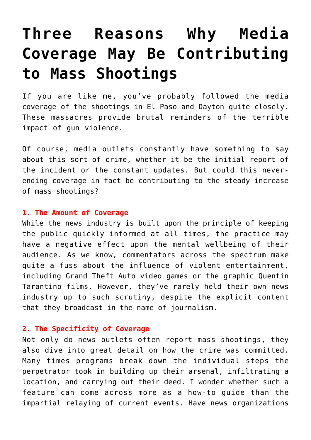## **[Three Reasons Why Media](https://intellectualtakeout.org/2019/08/three-reasons-why-media-coverage-may-be-contributing-to-mass-shootings/) [Coverage May Be Contributing](https://intellectualtakeout.org/2019/08/three-reasons-why-media-coverage-may-be-contributing-to-mass-shootings/) [to Mass Shootings](https://intellectualtakeout.org/2019/08/three-reasons-why-media-coverage-may-be-contributing-to-mass-shootings/)**

If you are like me, you've probably followed the media coverage of the shootings in El Paso and Dayton quite closely. These massacres provide brutal reminders of the terrible impact of gun violence.

Of course, media outlets constantly have something to say about this sort of crime, whether it be the initial report of the incident or the constant updates. But could this neverending coverage in fact be contributing to the steady increase of mass shootings?

## **1. The Amount of Coverage**

While the news industry is built upon the principle of keeping the public quickly informed at all times, the practice may have a negative effect upon the mental wellbeing of their audience. As we know, commentators across the spectrum make quite a fuss about the influence of violent entertainment, including Grand Theft Auto video games or the graphic Quentin Tarantino films. However, they've rarely held their own news industry up to such scrutiny, despite the explicit content that they broadcast in the name of journalism.

## **2. The Specificity of Coverage**

Not only do news outlets often report mass shootings, they also dive into great detail on how the crime was committed. Many times programs break down the individual steps the perpetrator took in building up their arsenal, infiltrating a location, and carrying out their deed. I wonder whether such a feature can come across more as a how-to guide than the impartial relaying of current events. Have news organizations